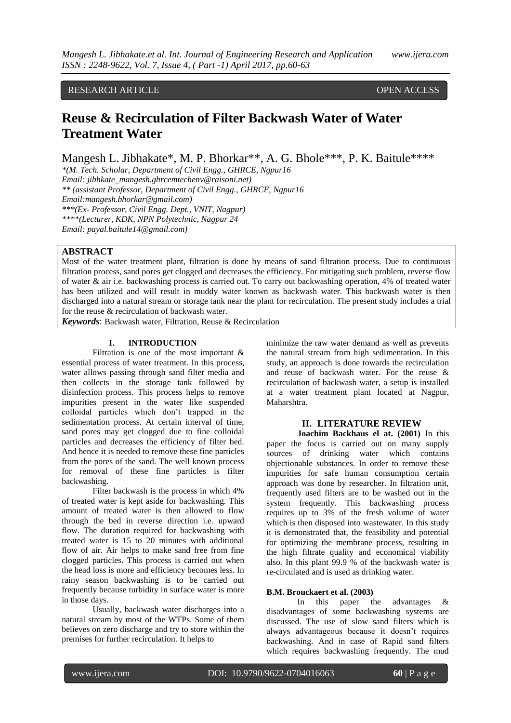# RESEARCH ARTICLE OPEN ACCESS

# **Reuse & Recirculation of Filter Backwash Water of Water Treatment Water**

Mangesh L. Jibhakate\*, M. P. Bhorkar\*\*, A. G. Bhole\*\*\*, P. K. Baitule\*\*\*\*

*\*(M. Tech. Scholar, Department of Civil Engg., GHRCE, Ngpur16 Email: jibhkate\_mangesh.ghrcemtechenv@raisoni.net) \*\* (assistant Professor, Department of Civil Engg., GHRCE, Ngpur16 Email:mangesh.bhorkar@gmail.com) \*\*\*(Ex- Professor, Civil Engg. Dept., VNIT, Nagpur) \*\*\*\*(Lecturer, KDK, NPN Polytechnic, Nagpur 24 Email: payal.baitule14@gmail.com)*

### **ABSTRACT**

Most of the water treatment plant, filtration is done by means of sand filtration process. Due to continuous filtration process, sand pores get clogged and decreases the efficiency. For mitigating such problem, reverse flow of water & air i.e. backwashing process is carried out. To carry out backwashing operation, 4% of treated water has been utilized and will result in muddy water known as backwash water. This backwash water is then discharged into a natural stream or storage tank near the plant for recirculation. The present study includes a trial for the reuse & recirculation of backwash water.

*Keywords*: Backwash water, Filtration, Reuse & Recirculation

### **I. INTRODUCTION**

Filtration is one of the most important  $\&$ essential process of water treatment. In this process, water allows passing through sand filter media and then collects in the storage tank followed by disinfection process. This process helps to remove impurities present in the water like suspended colloidal particles which don't trapped in the sedimentation process. At certain interval of time, sand pores may get clogged due to fine colloidal particles and decreases the efficiency of filter bed. And hence it is needed to remove these fine particles from the pores of the sand. The well known process for removal of these fine particles is filter backwashing.

Filter backwash is the process in which 4% of treated water is kept aside for backwashing. This amount of treated water is then allowed to flow through the bed in reverse direction i.e. upward flow. The duration required for backwashing with treated water is 15 to 20 minutes with additional flow of air. Air helps to make sand free from fine clogged particles. This process is carried out when the head loss is more and efficiency becomes less. In rainy season backwashing is to be carried out frequently because turbidity in surface water is more in those days.

Usually, backwash water discharges into a natural stream by most of the WTPs. Some of them believes on zero discharge and try to store within the premises for further recirculation. It helps to

minimize the raw water demand as well as prevents the natural stream from high sedimentation. In this study, an approach is done towards the recirculation and reuse of backwash water. For the reuse & recirculation of backwash water, a setup is installed at a water treatment plant located at Nagpur, Maharshtra.

# **II. LITERATURE REVIEW**

**Joachim Backhaus el at. (2001)** In this paper the focus is carried out on many supply sources of drinking water which contains objectionable substances. In order to remove these impurities for safe human consumption certain approach was done by researcher. In filtration unit, frequently used filters are to be washed out in the system frequently. This backwashing process requires up to 3% of the fresh volume of water which is then disposed into wastewater. In this study it is demonstrated that, the feasibility and potential for optimizing the membrane process, resulting in the high filtrate quality and economical viability also. In this plant 99.9 % of the backwash water is re-circulated and is used as drinking water.

#### **B.M. Brouckaert et al. (2003)**

In this paper the advantages & disadvantages of some backwashing systems are discussed. The use of slow sand filters which is always advantageous because it doesn't requires backwashing. And in case of Rapid sand filters which requires backwashing frequently. The mud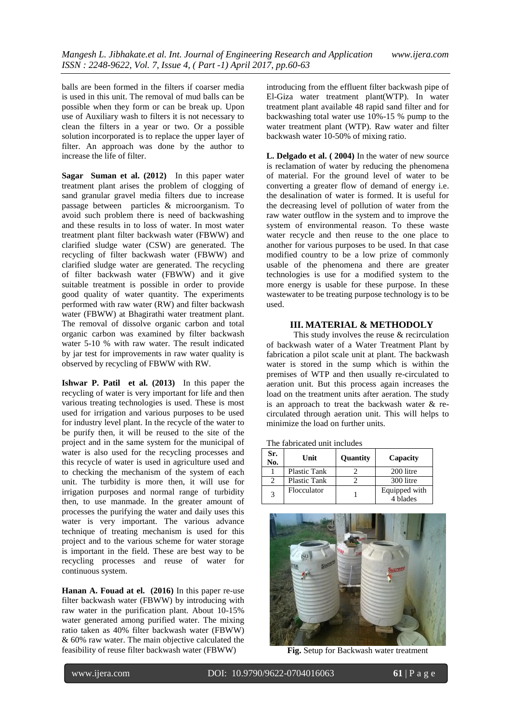balls are been formed in the filters if coarser media is used in this unit. The removal of mud balls can be possible when they form or can be break up. Upon use of Auxiliary wash to filters it is not necessary to clean the filters in a year or two. Or a possible solution incorporated is to replace the upper layer of filter. An approach was done by the author to increase the life of filter.

**Sagar Suman et al. (2012)** In this paper water treatment plant arises the problem of clogging of sand granular gravel media filters due to increase passage between particles & microorganism. To avoid such problem there is need of backwashing and these results in to loss of water. In most water treatment plant filter backwash water (FBWW) and clarified sludge water (CSW) are generated. The recycling of filter backwash water (FBWW) and clarified sludge water are generated. The recycling of filter backwash water (FBWW) and it give suitable treatment is possible in order to provide good quality of water quantity. The experiments performed with raw water (RW) and filter backwash water (FBWW) at Bhagirathi water treatment plant. The removal of dissolve organic carbon and total organic carbon was examined by filter backwash water 5-10 % with raw water. The result indicated by jar test for improvements in raw water quality is observed by recycling of FBWW with RW.

**Ishwar P. Patil et al. (2013)** In this paper the recycling of water is very important for life and then various treating technologies is used. These is most used for irrigation and various purposes to be used for industry level plant. In the recycle of the water to be purify then, it will be reused to the site of the project and in the same system for the municipal of water is also used for the recycling processes and this recycle of water is used in agriculture used and to checking the mechanism of the system of each unit. The turbidity is more then, it will use for irrigation purposes and normal range of turbidity then, to use manmade. In the greater amount of processes the purifying the water and daily uses this water is very important. The various advance technique of treating mechanism is used for this project and to the various scheme for water storage is important in the field. These are best way to be recycling processes and reuse of water for continuous system.

**Hanan A. Fouad at el. (2016)** In this paper re-use filter backwash water (FBWW) by introducing with raw water in the purification plant. About 10-15% water generated among purified water. The mixing ratio taken as 40% filter backwash water (FBWW) & 60% raw water. The main objective calculated the feasibility of reuse filter backwash water (FBWW)

introducing from the effluent filter backwash pipe of El-Giza water treatment plant(WTP). In water treatment plant available 48 rapid sand filter and for backwashing total water use 10%-15 % pump to the water treatment plant (WTP). Raw water and filter backwash water 10-50% of mixing ratio.

**L. Delgado et al. ( 2004)** In the water of new source is reclamation of water by reducing the phenomena of material. For the ground level of water to be converting a greater flow of demand of energy i.e. the desalination of water is formed. It is useful for the decreasing level of pollution of water from the raw water outflow in the system and to improve the system of environmental reason. To these waste water recycle and then reuse to the one place to another for various purposes to be used. In that case modified country to be a low prize of commonly usable of the phenomena and there are greater technologies is use for a modified system to the more energy is usable for these purpose. In these wastewater to be treating purpose technology is to be used.

#### **III. MATERIAL & METHODOLY**

This study involves the reuse & recirculation of backwash water of a Water Treatment Plant by fabrication a pilot scale unit at plant. The backwash water is stored in the sump which is within the premises of WTP and then usually re-circulated to aeration unit. But this process again increases the load on the treatment units after aeration. The study is an approach to treat the backwash water & recirculated through aeration unit. This will helps to minimize the load on further units.

| The fabricated unit includes |  |
|------------------------------|--|
|------------------------------|--|

| Sr.<br>No. | Unit                | Quantity | Capacity                  |
|------------|---------------------|----------|---------------------------|
|            | <b>Plastic Tank</b> |          | 200 litre                 |
|            | <b>Plastic Tank</b> |          | 300 litre                 |
| 3          | Flocculator         |          | Equipped with<br>4 blades |



**Fig.** Setup for Backwash water treatment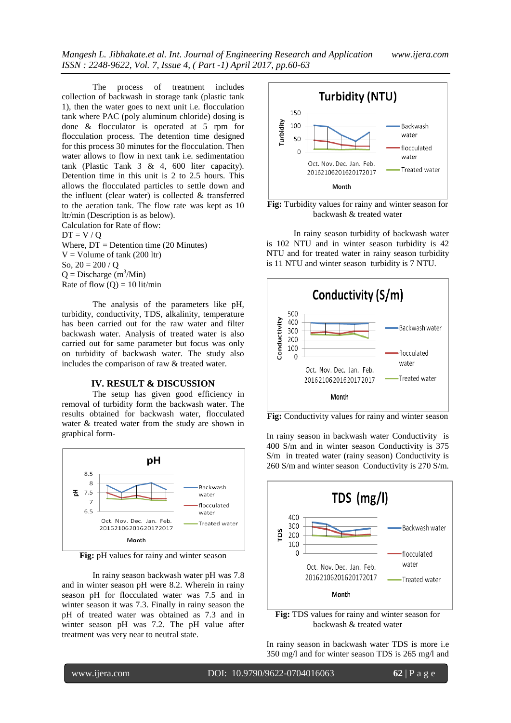The process of treatment includes collection of backwash in storage tank (plastic tank 1), then the water goes to next unit i.e. flocculation tank where PAC (poly aluminum chloride) dosing is done & flocculator is operated at 5 rpm for flocculation process. The detention time designed for this process 30 minutes for the flocculation. Then water allows to flow in next tank i.e. sedimentation tank (Plastic Tank 3 & 4, 600 liter capacity). Detention time in this unit is 2 to 2.5 hours. This allows the flocculated particles to settle down and the influent (clear water) is collected & transferred to the aeration tank. The flow rate was kept as 10 ltr/min (Description is as below). Calculation for Rate of flow:  $DT = V / Q$ Where,  $DT = Det$ ention time (20 Minutes)

 $V =$  Volume of tank (200 ltr) So,  $20 = 200 / Q$  $Q =$  Discharge (m<sup>3</sup>/Min) Rate of flow  $(Q) = 10$  lit/min

The analysis of the parameters like pH, turbidity, conductivity, TDS, alkalinity, temperature has been carried out for the raw water and filter backwash water. Analysis of treated water is also carried out for same parameter but focus was only on turbidity of backwash water. The study also includes the comparison of raw & treated water.

### **IV. RESULT & DISCUSSION**

The setup has given good efficiency in removal of turbidity form the backwash water. The results obtained for backwash water, flocculated water & treated water from the study are shown in graphical form-



**Fig:** pH values for rainy and winter season

In rainy season backwash water pH was 7.8 and in winter season pH were 8.2. Wherein in rainy season pH for flocculated water was 7.5 and in winter season it was 7.3. Finally in rainy season the pH of treated water was obtained as 7.3 and in winter season pH was 7.2. The pH value after treatment was very near to neutral state.



**Fig:** Turbidity values for rainy and winter season for backwash & treated water

In rainy season turbidity of backwash water is 102 NTU and in winter season turbidity is 42 NTU and for treated water in rainy season turbidity is 11 NTU and winter season turbidity is 7 NTU.



**Fig:** Conductivity values for rainy and winter season

In rainy season in backwash water Conductivity is 400 S/m and in winter season Conductivity is 375 S/m in treated water (rainy season) Conductivity is 260 S/m and winter season Conductivity is 270 S/m.



**Fig:** TDS values for rainy and winter season for backwash & treated water

In rainy season in backwash water TDS is more i.e 350 mg/l and for winter season TDS is 265 mg/l and